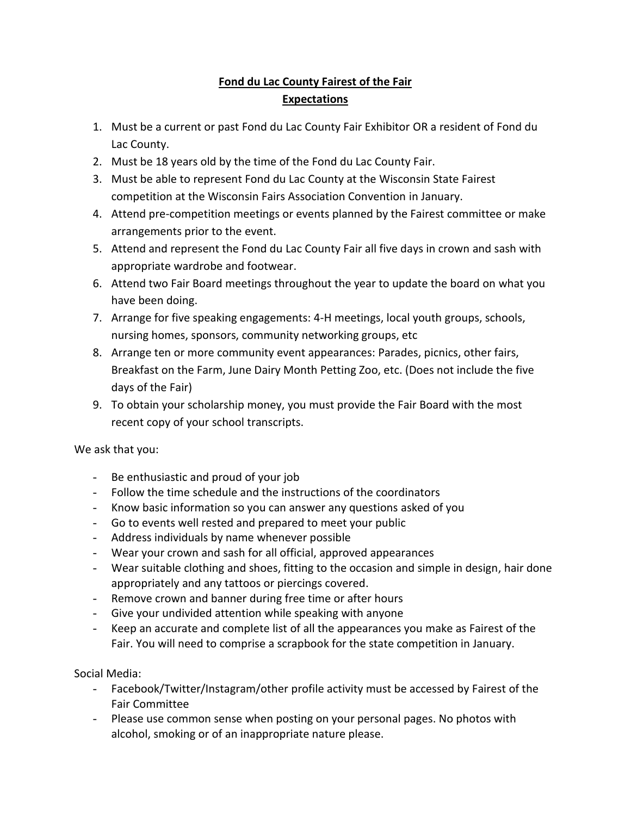## **Fond du Lac County Fairest of the Fair Expectations**

- 1. Must be a current or past Fond du Lac County Fair Exhibitor OR a resident of Fond du Lac County.
- 2. Must be 18 years old by the time of the Fond du Lac County Fair.
- 3. Must be able to represent Fond du Lac County at the Wisconsin State Fairest competition at the Wisconsin Fairs Association Convention in January.
- 4. Attend pre-competition meetings or events planned by the Fairest committee or make arrangements prior to the event.
- 5. Attend and represent the Fond du Lac County Fair all five days in crown and sash with appropriate wardrobe and footwear.
- 6. Attend two Fair Board meetings throughout the year to update the board on what you have been doing.
- 7. Arrange for five speaking engagements: 4-H meetings, local youth groups, schools, nursing homes, sponsors, community networking groups, etc
- 8. Arrange ten or more community event appearances: Parades, picnics, other fairs, Breakfast on the Farm, June Dairy Month Petting Zoo, etc. (Does not include the five days of the Fair)
- 9. To obtain your scholarship money, you must provide the Fair Board with the most recent copy of your school transcripts.

We ask that you:

- Be enthusiastic and proud of your job
- Follow the time schedule and the instructions of the coordinators
- Know basic information so you can answer any questions asked of you
- Go to events well rested and prepared to meet your public
- Address individuals by name whenever possible
- Wear your crown and sash for all official, approved appearances
- Wear suitable clothing and shoes, fitting to the occasion and simple in design, hair done appropriately and any tattoos or piercings covered.
- Remove crown and banner during free time or after hours
- Give your undivided attention while speaking with anyone
- Keep an accurate and complete list of all the appearances you make as Fairest of the Fair. You will need to comprise a scrapbook for the state competition in January.

Social Media:

- Facebook/Twitter/Instagram/other profile activity must be accessed by Fairest of the Fair Committee
- Please use common sense when posting on your personal pages. No photos with alcohol, smoking or of an inappropriate nature please.